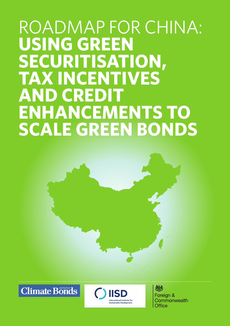# ROADMAP FOR CHINA: USING GREEN **securitisation, tax incentives AND CRED ENHANCEMENTS TO scale green bonds**



**Climate Bonds** 



热 Foreign & Commonwealth **Office**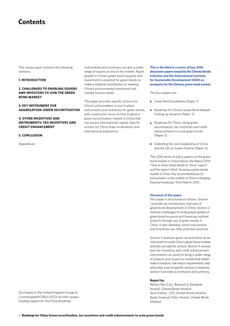# **Contents**

This issues paper contains the following sections:

#### **1. INtroduction**

# **2. Challenges to Enabling issuers and investors to join the green bond market**

## **3. Key instrument for aggregation: green securitisation**

# **4. other incentives and instruments: tax incentives and credit enhancement**

#### **5. conclusion**

Appendices

Instruments and incentives can give a wider range of issuers access to the market. Rapid growth in China's green bond issuance and investment is essential for green bonds to make a material contribution to meeting China's environmental investment and climate finance needs.

The paper provides specific actions for China's policymakers to put in place instruments and incentives for green bonds, with a particular focus on how to grow a green securitisation market in China that can access international capital. Specific actions for China draw on domestic and international experience.

**This is the third in a series of four 2016 discussion papers issued by the Climate Bonds Initiative and the International Institute for Sustainable Development (IISD) on prospects for the Chinese green bond market.** 

The four papers are:

- Green Bond Guidelines (Paper 1)
- Roadmap for China's Green Bond Market-Scaling up Issuance (Paper 2)
- Roadmap for China: Using green securitisation, tax incentives and credit enhancements to scale green bonds (Paper 3)
- Extending the Joint Leadership of China and the UK on Green Finance (Paper 4)

This 2016 series of policy papers on the green bond market in China follows the March 2014 "How to Grow Green Bonds in China" report<sup>2</sup> and the report titled *'Growing a green bonds market in China: Key recommendations for policymakers in the context of China's changing financial landscape'* from March 2015.

#### **Structure of this paper**

This paper is structured as follows. Section 1 provides an introductory overview of green bond development in China. Section 2 outlines challenges to widespread uptake of green bond issuance and financing multiple projects through use of green bonds in China. It also identifies which instruments and incentives can offer potential solutions.

Section 3 analyses green securitisation as an instrument to scale China's green bond market, and sets out specific actions. Section 4 reviews how tax incentives and credit enhancement instruments can assist to bring a wider range of projects and issuers to market that better match investors' risk-return requirements; and advocates a set of specific actions in response. Section 5 provides a conclusion and summary.

#### **Report by:**

Weihui Dai (Lily), *Research & Standards Analyst, Climate Bonds Initiative* Sean Kidney, *CEO, Climate Bonds Initiative* Beate Sonerud, *Policy Analyst, Climate Bonds Initiative*

Our thanks to the United Kingdom Foreign & Commonwealth Office (FCO) for their project funding support for the China Roadmap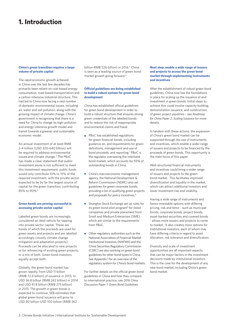# **1. Introduction**

## **China's green transition requires a large volume of private capital**

The rapid economic growth achieved in China over the last few decades has primarily been reliant on coal-based energy consumption, road-based transportation and a carbon-intensive industrial structure. This had led to China now facing a vast number of domestic environmental issues, including air, water and soil pollution, along with the growing impact of climate change. China's government is recognising that there is a need for China to change its high-pollution and energy-intensive growth model and transit towards a greener and sustainable economic model.

An annual investment of at least RMB 2-4 trillion (USD 320-640 billion) will be required to address environmental issues and climate change.3 The PBoC has made a clear statement that public investment alone is not sufficient to meet this investment requirement: public funds would only contribute 10% to 15% of the required investment, with the private sector expected to be by far the largest source of capital for the green transition, contributing 85% to 90%.4

## **Green bonds are proving successful in accessing private sector capital**

Labelled green bonds are increasingly considered an ideal vehicle for tapping into private sector capital. These are bonds of which the proceeds are used for green assets and projects and are labelled accordingly (mostly climate change mitigation and adaptation projects). Proceeds can be allocated to new projects or for refinancing of existing green projects, or a mix of both. Green bond investors equally accept both.

Globally, the green bond market has grown rapidly, from USD 11 billion (RMB 72.4 billion) of issuance in 2013, to USD 36.8 billion (RMB 242 billion) in 2014 and USD 41.8 billion (RMB 275 billion) in 2015. The growth in green bonds is expected to continue. SEB estimates that global green bond issuance will grow to USD 80 billion-USD 100 billion (RMB 362

billion-RMB 526 billion) in 2016.<sup>5</sup> China is seen as a leading source of green bond market growth going forward.6

# **Official guidelines are being established to build a robust system for green bond development**

China has established official guidelines for green bond development in order to build a robust structure that ensures strong green credentials of the labelled bonds and to reduce the risk of inappropriate environmental claims and fraud:

- PBoC has established regulations for green financial bonds, including guidance on, and requirements for green definitions, management and use of bond proceeds, and reporting.<sup>7</sup> PBoC is the regulator overseeing the interbank bond market, which accounts for 93% of outstanding bonds in China.
- China's macroeconomic management agency, the National Development & Reform Commission (NDRC) also set guidelines for green corporate bonds, providing a list of qualifying green projects and proposals for policy incentives.<sup>8</sup>
- Shanghai Stock Exchange set up rules for its green bond pilot program<sup>9</sup> for listed companies and private placement from Small and Medium Enterprises (SME), which are similar to the requirements from PBoC.
- Other regulatory authorities such as the National Association of Financial Market Institutional Investors (NAFMII) and the China Securities Regulatory Commission (CSRC) are also working on green bond guidelines for other bond types in China. See Appendix 1 for an overview of the regulatory system for China's bond markets.

For further details on the official green bond guidelines in China and how they compare to international practice, see *2016 China Discussion Paper 1: Green Bond Guidelines*.

# **Next step: enable a wide range of issuers and projects to access the green bond market through implementing instruments and incentives**

After the establishment of robust green bond guidelines, China now has the foundations in place for scaling up the issuance of and investment in green bonds. Initial steps to achieve this could involve capacity building, demonstration issuance, and construction of green project pipelines – see *Roadmap for China Paper 2: Scaling Issuance* for more details.

In tandem with these actions, the expansion of China's green bond market can be supported through the use of instruments and incentives, which enable a wider range of issuers and projects to be financed by the proceeds of green bonds. This opportunity is the main focus of this paper.

Well-structured financial instruments and incentives could bring a wider range of issuers and projects to the green bond market. This facilitates improved diversification and liquidity in the market, which can attract additional investors and lower investment risk and volatility.

Having a wide range of instruments and hence investable options with differing pricing, risk and tenor - such as municipal bonds, corporate bonds, project bonds, asset-backed securities and covered bonds - allows more issuers and projects to come to market. It also creates more options for institutional investors, each of whom may have differing criteria in regard to asset allocation, risk tolerance and diversification.

Diversity and scale of investment opportunities are all important aspects that can be major factors in the investment decisions made by institutional investors. This is the case for the development of any new bond market, including China's green bond market.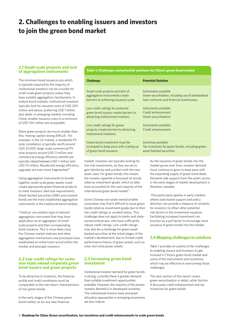# **2. Challenges to enabling issuers and investors to join the green bond market**

# **2.1 Small-scale projects and lack of aggregation instruments**

The minimum bond issuance size which is typically required by the majority of institutional investors can be a hurdle for small-scale green projects unless they have suitable aggregation mechanisms. In mature bond markets, institutional investors typically look for issuance sizes of USD 200 million and above, preferring USD 1 billion plus deals. In emerging markets including China, smaller issuance sizes to a minimum of USD 100 million are acceptable.

Many green projects are much smaller than this, making capital raising difficult. For example, in the US market, a residential PV solar installation is typically worth around USD 25,000, large-scale commercial PV solar projects around USD 3 million and commercial energy efficiency retrofits are typically valued between USD 1 million and USD 10 million. Residential energy efficiency upgrades are even more fragmented.10

Using aggregation instruments to bundle together small-scale green assets could create appropriate green financial products to meet investors' deal size requirements. Asset-backed securities (ABS) and covered bonds are the most established aggregation instruments in the traditional bond markets.

'Yieldcos' are another type of relevant aggregation instrument that may have application as an aggregator of smallscale projects and then corresponding bond issuance. This is more likely once the Chinese market matures and other aggregation mechanisms and processes have established an initial track record within the market and amongst investors.

# **2.2 Low credit ratings for some non-state owned corporate green bond issuers and green projects**

To be attractive to investors, the financial profile and credit worthiness must be comparable to the risk-return characteristics of non-green bonds.

In the early stages of the Chinese green bond market, as for any new financial

**Table 1: Challenges and potential solutions for China's green bond market**

| <b>Challenge</b>                                                                                                                                                                                                                                                                                                                                                                                                             | <b>Potential Solution</b>                                                                                                                                                                                                                                                                                                                                     |  |
|------------------------------------------------------------------------------------------------------------------------------------------------------------------------------------------------------------------------------------------------------------------------------------------------------------------------------------------------------------------------------------------------------------------------------|---------------------------------------------------------------------------------------------------------------------------------------------------------------------------------------------------------------------------------------------------------------------------------------------------------------------------------------------------------------|--|
| Small-scale projects and lack of<br>aggregation instruments create<br>barriers to achieving issuance scale                                                                                                                                                                                                                                                                                                                   | Instruments available:<br>Green securitisation, including use of standardised<br>loan contracts and financial warehouses.                                                                                                                                                                                                                                     |  |
| Low credit-ratings for potential<br>green bond issuers create barriers to<br>attracting institutional investors                                                                                                                                                                                                                                                                                                              | Instruments available:<br>Credit enhancement.<br>Green securitisation.                                                                                                                                                                                                                                                                                        |  |
| Low credit-ratings for green<br>projects create barriers to attracting<br>institutional investors                                                                                                                                                                                                                                                                                                                            | Instruments available:<br>Credit enhancement.                                                                                                                                                                                                                                                                                                                 |  |
| Green bond investment must be<br>increased to keep pace with scaling up<br>of green bond issuance                                                                                                                                                                                                                                                                                                                            | Incentives available:<br>Tax incentives for green bonds, including green<br>asset-backed securities.                                                                                                                                                                                                                                                          |  |
| market, investors are typically looking for<br>low-risk investments, as they are yet to<br>gain familiarity and comfort with the new<br>asset class. For green bonds, this means<br>the investor appetite is focussed on bonds<br>rated as investment-grade, which to date<br>have accounted for the vast majority of the<br>international green bond market. <sup>11</sup>                                                  | As the issuance of green bonds into the<br>market grows over time, investor demand<br>must continue to grow to keep pace with<br>the expanding supply of green bond deals.<br>Demand-side support from the public sector<br>in the early stages of market development is<br>therefore valuable.                                                               |  |
| Some Chinese non-state owned smaller<br>corporates may find it difficult to issue green<br>bonds rated as investment-grade due to their<br>low credit ratings or unrated status. This<br>challenge does not apply to banks and state-<br>owned enterprises, who have sufficiently<br>robust credit ratings. Low-credit ratings<br>may also be a challenge for green asset-<br>backed securities at the initial stages of the | This particularly applies in early markets<br>where state based support and policy<br>direction can provide a measure of certainty<br>for investors to offset other potential<br>risk factors in the investment equation.<br>Facilitating increased investment can<br>function as a pull factor to encourage more<br>issuance of green bonds into the market. |  |
| market's development, due to limited credit<br>performance history of green assets, such as                                                                                                                                                                                                                                                                                                                                  | <b>2.4 Mapping challenges to solutions</b>                                                                                                                                                                                                                                                                                                                    |  |
| solar and wind power assets.                                                                                                                                                                                                                                                                                                                                                                                                 | Table 1 provides an outline of the challenges                                                                                                                                                                                                                                                                                                                 |  |

# **2.3 Increasing green bond investment**

Institutional investor demand for green bonds is strong; currently there is greater demand than suitable investment opportunities available. However, the majority of the proven investor demand is in developed countries. The institutional investor base and asset allocation approaches in emerging economies are less mature.

to enabling issuers and investors to get involved in China's green bond market and some of the instruments and incentives which may be effective in overcoming those challenges.

The next section of this report covers green securitisation in detail, while Section 4 discusses credit enhancement and tax incentives for green bonds.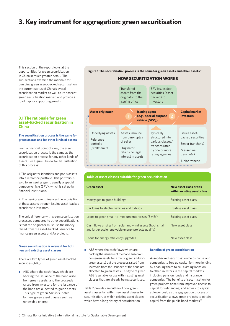# **3. Key instrument for aggregation: green securitisation**

This section of the report looks at the opportunities for green securitisation in China in much greater detail. The sub-sections examine the rationale for pursuing green asset-backed securitisation, the current status of China's overall securitisation market as well as its nascent green securitisation market, and provide a roadmap for supporting growth.

# **3.1 The rationale for green asset-backed securitisation in China**

#### **The securitisation process is the same for green assets and for other kinds of assets**

From a financial point of view, the green securitisation process is the same as the securitisation process for any other kinds of assets. See Figure 1 below for an illustration of this process:

1. The originator identities and pools assets into a reference portfolio. This portfolio is sold to an issuing agent, usually a special purpose vehicle (SPV), which is set up by financial institutions.

2. The issuing agent finances the acquisition of these assets through issuing asset-backed securities to investors.

The only difference with green securitisation processes compared to other securitisations is that the originator must use the money raised from the asset-backed issuance to finance green assets and/or projects.

#### **Green securitisation is relevant for both new and existing asset classes**

There are two types of green asset-backed securities (ABS):

ABS where the cash flows which are backing the issuance of the bond arise from green assets, and the proceeds raised from investors for the issuance of the bond are allocated to green assets. This type of green ABS is suitable for new green asset classes such as renewable energy.

Figure 1 The securitisation process is the same for green assets and other assets<sup>12</sup>

# **How securitization works**



# **Table 2: Asset classes suitable for green securitisation**

| <b>Green asset</b>                                                                                               | New asset class or fits<br>within existing asset class |
|------------------------------------------------------------------------------------------------------------------|--------------------------------------------------------|
| Mortgages to green buildings                                                                                     | Existing asset class                                   |
| Car loans to electric vehicles and hybrids                                                                       | Existing asset class                                   |
| Loans to green small-to-medium enterprises (SMEs)                                                                | Existing asset class                                   |
| Cash flows arising from solar and wind assets (both small<br>and larger scale renewable energy projects qualify) | New asset class                                        |
| Loans for energy efficiency upgrades                                                                             | New asset class                                        |

ABS where the cash flows which are  $\bullet$ backing the issuance of the bond arise from non-green assets (or a mix of green and nongreen assets) but the proceeds raised from investors from the issuance of the bond are allocated to green assets. This type of green ABS is suitable for use within existing asset classes that are already being securitised.

Table 2 provides an outline of how green asset classes fall within new asset classes for securitisation, or within existing asset classes which have a long history of securitisation.

#### **Benefits of green securitisation**

Asset-backed securitisation helps banks and companies to free up capital for more lending by enabling them to sell existing loans on to other investors in the capital markets, including pension funds and insurance companies. The benefits of securitisation for green projects arise from improved access to capital for refinancing, and access to capital at lower cost, as the aggregation process of securitisation allows green projects to obtain capital from the public bond markets.13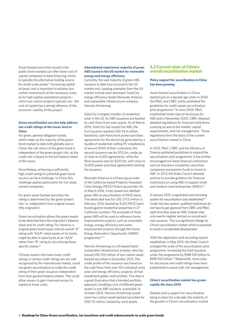Asset-backed securities issued in the public bond markets can offer lower cost of capital compared to bank financing, which is typically the alternative funding source for small-scale assets.14 Accessing capital at lower cost is important to achieve lowcarbon investments at the necessary scale, as for high capital expenditure projects which low-carbon projects typically are - the cost of capital has a strong influence of the economic viability of the project.

#### **Green securitisation can also help address low credit ratings at the issuer level in China**

For green, general obligation bonds, which make up the majority of the green bond market to date both globally and in China, the risk-return of the green bond is independent of the green project risk, as the credit risk is based on the full balance sheet of the issuer.

Nevertheless, achieving a sufficiently high credit rating for potential green bond issuers can be a challenge. In China, this challenge applies particularly for non-state owned companies.

For green asset-backed securities the rating is determined by the green project risk, i.e. independent from original issuers (the originator).

Green securitisation allows the green assets to be detached from the originator's balance sheet and its credit rating. For instance, a original green bond issuer with an overall "B" rating with "AAA"-rated assets on its books might be able to raise funds at an "AAA" rather than "B" rating by securitising those specific assets.<sup>15</sup>

Chinese issuers who have lower credit ratings or whose credit ratings are not well recognised by the international market, could use green securitisation to make the credit rating of their green issuance independent from their general balance sheets. This could allow issuers to gain improved access to capital at lower costs.

#### **International experience: majority of green ABS issued in the US market for renewable energy and energy efficiency**

Currently, the vast majority of green ABS issuance to date has occurred in the US market only. Leading examples from the US market include solar developer SolarCity, energy efficiency lender Renovate America and sustainable infrastructure company Hannon Armstrong.

SolarCity is largest installer of residential solar in the US. Its ABS issuances are backed by cash flows from solar assets. As of March 2016, SolarCity has issued five ABS: the first issuance reached USD 54.4 million, backed by cash flows from power-purchase agreements for the electricity generated by a bundle of residential rooftop PV installations of around 5000 of their customers; the second issuance was for \$70.2m, made up of close to 6,000 agreements, while the third issuance was for \$201.5m, with close to 16,000 power purchase agreements backing the issuance.

Renovate America is a financing provider of the California-based Property Assessed Clean Energy (PACE) financing provider. As of March 2016, it has issued two labelled green ABS as securitisation of PACE loans. The latest deal was for USD 217.5 million in February 2016, backed by 9,252 PACE loans levied against residential properties in 27 California counties. The proceeds of these green ABS will be used to refinance home improvements projects, such as renewable energy, energy efficiency and water improvement projects through the Home Energy Renovation Opportunity (HERO) programme.16 17

Hannon Armstrong is a US-based listed sustainable infrastructure investor, who has issued USD 100 million of low-carbon assetbacked securities in December 2013. The credit profile of the issuance was based on the cash flows from over 100 individual wind, solar and energy efficiency projects; all had investment grade credit profiles. This deal is a good illustration that a blended portfolio approach, bundling a mix of different green assets in one ABS issuance, is possible. In October 2014, Hannon Armstrong issued more low-carbon asset-backed securities for USD 115 million, backed by wind assets.

# **3.2 Current state of China's overall securitisation market**

#### **Policy support for securitisation in China has been growing**

Asset-backed securitisation in China started just on a decade ago when in 2005 the PBoC and CBRC jointly published the guidelines for credit assets securitisation pilot programme.18 In June 2005, PBoC established initial rules of disclosure for ABS and in November 2005, CBRC released detailed regulations for financial institutions covering access to the market, capital requirements, and risk management. These regulations form the basis of the current securitisation market in China.

In 2012, PBoC, CBRC and the Ministry of Finance published guidelines to expand the securitisation pilot programme. It has further encouraged non-bank financial institutions such as insurance companies, securities companies and pension funds to invest in ABS. In 2013, the State Council released policies to provide guidance for financial institutions on using ABS to support small and medium-sized enterprises (SMEs).19

In January 2015, a registration and recording system for securitisation was established.20 Under the new system, qualified institutions do not have to get approval from CBRC and PBoC each time they issue an ABS. Instead, they only need to register and put on record each new issuance. This is a significant change for China's securitisation market which is expected to result in accelerated development.

With the registration and recording system established, in May 2015, the State Council enlarged the scale of the securitisation pilot programme, increasing the total issuance under the programme by RMB 500 billion to RMB 900 billion.21 Meanwhile, more rules for disclosure and credit ratings have been established to assist with risk management.

#### **China's securitisation market has grown rapidly the since 2014**

Despite policy support for securitisation being in place for a decade, the majority of the growth in China's securitisation market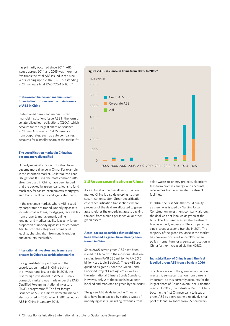has primarily occurred since 2014. ABS issued across 2014 and 2015 was more than five times the total ABS issued in the nine years leading up to 2014.<sup>22</sup> ABS outstanding in China now sits at RMB 770.4 billion.<sup>23</sup>

# **State-owned banks and medium sized financial institutions are the main issuers of ABS in China**

State-owned banks and medium sized financial institutions issue ABS in the form of collateralised loan obligations (CLOs), which account for the largest share of issuance in China's ABS market.<sup>25</sup> ABS issuance from corporates, such as auto companies, accounts for a smaller share of the market.<sup>26</sup>

## **The securitisation market in China has become more diversified**

Underlying assets for securitisation have become more diverse in China. For example, in the interbank market, Collateralized Loan Obligations (CLOs), the most common ABS structure used in China, have been issued that are backed by green loans, loans to fund machinery for construction projects, mortgages, auto loans, credit cards, and syndicated loans.

In the exchange market, where ABS issued by corporates are traded, underlying assets include smaller loans, mortgages, receivables from property management, online lending, and medical facility leases. A large proportion of underlying assets for corporate ABS fall into the categories of financial leasing, charging right from public entities, and accounts receivable.

#### **International investors and issuers are present in China's securitisation market**

Foreign institutions participate in the securitisation market in China both on the investor and issuer side. In 2015, the first foreign investment in ABS in China's domestic markets was made under the RMB Qualified Foreign Institutional Investors (RQFII) programme.27 The first foreign issuance of ABS in China's domestic market also occurred in 2015, when HSBC issued an ABS in China in January 2015.

# **Figure 2 ABS issuance in China from 2005 to 201524**



# **3.3 Green securitisation in China**

As a sub-set of the overall securitisation market, China is also developing its green securitisation sector. Green securitisation covers securitisation transactions where proceeds of the deal are allocated to green assets; either the underlying assets backing the deal from a credit perspective, or other green assets.

# **Asset-backed securities that could have been labelled as green have already been issued in China**

Since 2005, seven green ABS have been issued in China, with the individual deal size ranging from RMB 680 million to RMB 3.5 billion (see table 3 below). These ABS are qualified as green under the Green Bond Endorsed Project Catalogue<sup>28</sup> as well as the international Climate Bonds Standard. However, only 2 of those deals have been labelled and marketed as green by the issuer.

The green ABS deals issued in China to date have been backed by various types of underlying assets, including revenues from

solar, waste-to-energy projects, electricity fees from biomass energy, and accounts receivables from wastewater treatment facilities.

In 2006, the first ABS that could qualify as green was issued by Nanjing Urban Construction Investment company, although the deal was not labelled as green at the time. The ABS used wastewater treatment fees as underlying assets. The company has since issued a second tranche in 2011. The majority of the green issuance in the market has however occurred since 2015, when policy momentum for green securitisation in China further increased via the NDRC.

## **Industrial Bank of China issued the first labelled green ABS from a bank in 2016**

To achieve scale in the green securitisation market, green securitisation from banks is important, as this currently accounts for the largest share of China's overall securitisation market. In 2016, the Industrial Bank of China became the first Chinese bank to issue a green ABS by aggregating a relatively small pool of loans: 42 loans from 29 borrowers.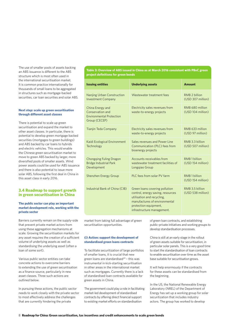The use of smaller pools of assets backing an ABS issuance is different to the ABS structure which is most often used in the international securitisation market. It is common practice internationally for thousands of small loans to be aggregated in structures such as mortgage-backed securities, car loan securities and solar ABS.

#### **Next step: scale up green securitisation through different asset classes**

There is potential to scale up green securitisation and expand the market to other asset classes. In particular, there is potential to develop green mortgage backed securities (mortgages to green buildings) and ABS backed by car loans to hybrids and electric vehicles. This would enable the Chinese green securitisation market to move to green ABS backed by larger, more diversified pools of smaller assets. Wind power assets could be used for ABS issuance and there is also potential to issue more solar ABS, following the first deal in China in this asset class in early 2016.

# **3.4 Roadmap to support growth in green securitisation in China**

#### **The public sector can play an important market development role, working with the private sector**

Barriers currently remain on the supply-side that prevent private market actors from using these aggregation mechanisms at scale. Growing the securitisation markets for any asset requires the creation of a sufficient volume of underlying assets as well as standardising the underlying asset (often a loan of some sort).

Various public sector entities can take concrete actions to overcome barriers to extending the use of green securitisation as a finance source, particularly in new asset classes. Three such actions are outlined below.

In pursuing these actions, the public sector needs to work closely with the private sector to most effectively address the challenges that are currently hindering the private

**Table 3: Overview of ABS issued in China as at March 2016 consistent with PBoC green project definitions for green bonds**

| <b>Issuing entities</b>                                                                  | <b>Underlying assets</b>                                                                                                                                                                  | <b>Amount</b>                                 |
|------------------------------------------------------------------------------------------|-------------------------------------------------------------------------------------------------------------------------------------------------------------------------------------------|-----------------------------------------------|
| <b>Nanjing Urban Construction</b><br><b>Investment Company</b>                           | Wastewater treatment fees                                                                                                                                                                 | RMB <sub>2</sub> hillion<br>(USD 307 million) |
| China Energy and<br>Conservation and<br><b>Environmental Protection</b><br>Group (CECEP) | Electricity sales revenues from<br>waste-to-energy projects                                                                                                                               | RMB 680 million<br>(USD 104 million)          |
| <b>Tianjin Teda Company</b>                                                              | Electricity sales revenues from<br>waste-to-energy projects                                                                                                                               | RMB 633 million<br>(USD 97 million)           |
| Kaidi Ecological Environment<br>Technology                                               | Sales revenues and Power Line<br>Communication (PLC) fees from<br>bioenergy projects                                                                                                      | RMB 3.3 billion<br>(USD 507 million)          |
| <b>Chongging Fuling Dragon</b><br><b>Bridge Industrial Park</b><br>Development           | Accounts receivables from<br>wastewater treatment facilities of<br>Longgiao Group                                                                                                         | RMB <sub>1</sub> hillion<br>(USD 154 million) |
| Shenzhen Energy Group                                                                    | PLC fees from solar PV farm                                                                                                                                                               | RMB <sub>1</sub> hillion<br>(USD 154 million) |
| Industrial Bank of China (CIB)                                                           | Green loans covering pollution<br>control, energy saving, resources<br>utilisation and recycling,<br>manufactures of environmental<br>protection equipment,<br>infrastructure management. | RMB 3.5 billion<br>(USD 538 million)          |

market from taking full advantage of green securitisation opportunities.

## **(i) Action: support the development of standardised green loans contracts**

To facilitate securitization of large portfolios of smaller loans, it is crucial that new green loans are standardised $29$  - this was instrumental in kick-starting securitisation in other areas in the international market such as mortgages. Currently there is a lack of standardised loan contracts available for green assets in China.

The government could play a role in facilitating market-led development of standardised contracts by offering direct financial support to existing market efforts on standardisation

of green loan contracts, and establishing public-private initiatives and working groups to develop standardisation processes.

China is still at an early stage in the rollout of green assets suitable for securitisation, in particular solar panels. This is a very good time to start the standardisation of loan contracts to enable securitisation over time as the asset base suitable for securitisation grows.

It will help enormously if the contracts for these assets can be standardised from the beginning.

In the US, the National Renewable Energy Laboratory (NREL) of the Department of Energy has set up a working group for solar securitization that includes industry actors. The group has worked to develop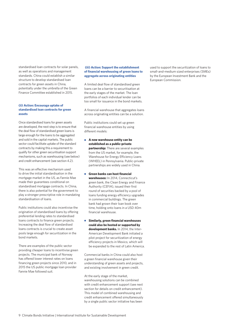standardised loan contracts for solar panels, as well as operations and management standards. China could establish a similar structure to develop standardised loan contracts for green assets in China, potentially under the umbrella of the Green Finance Committee established in 2015.

### **(ii) Action: Encourage uptake of standardised loan contracts for green assets**

Once standardised loans for green assets are developed, the next step is to ensure that the deal flow of standardised green loans is large enough for the loans to be aggregated and sold in the capital markets. The public sector could facilitate uptake of the standard contracts by making this a requirement to qualify for other green securitisation support mechanisms, such as warehousing (see below) and credit enhancement (see section 4.2).

This was an effective mechanism used to drive the initial standardisation in the mortgage market in the US, as Fannie Mae made their guarantees conditional on standardised mortgage contracts. In China, there is also potential for the government to play a stronger prescriptive role in mandating standardisation of loans.

Public institutions could also incentivise the origination of standardised loans by offering preferential lending rates to standardised loans contracts to finance green projects. Increasing the deal flow of standardised loans contracts is crucial to create asset pools large enough for securitization in the bond markets.

There are examples of the public sector providing cheaper loans to incentivise green projects. The municipal bank of Norway has offered lower interest rates on loans financing green projects since 2010, and in 2015 the US public mortgage loan provider Fannie Mae followed suit.

#### **(iii) Action: Support the establishment of financial warehousing of green loans to aggregate across originating entities**

A limited deal flow of standardised green loans can be a barrier to securitisation at the early stages of the market. The loan portfolios of each individual lender can be too small for issuance in the bond markets.

A financial warehouse that aggregates loans across originating entities can be a solution.

Public institutions could set up green financial warehouse entities by using different models:

- **A new warehouse entity can be established as a public-private partnership:** There are several examples from the US market, for example, the Warehouse for Energy Efficiency Loans (WHEEL) in Pennsylvania. Public-private partnerships are widely used in China.
- **Green banks can host financial warehouses:** In 2014, Connecticut's green bank, the Clean Energy and Finance Authority (CEFIA), issued their first round of securities backed by a pool of loans funding energy efficiency upgrades in commercial buildings. The green bank had grown their loan book over time, holding onto loans in a USD 40m financial warehouse.
- **Similarly, green financial warehouses could also be hosted or supported by development banks.** In 2014, the Inter-American Development Bank initiated a pilot project for securitization of energy efficiency projects in Mexico, which will be expanded to the rest of Latin America.

Commercial banks in China could also host a green financial warehouse given their understanding of green assets and projects, and existing involvement in green credit.

At the early stage of the market, warehousing solutions can be combined with credit enhancement support (see next section for details on credit enhancement). This model of combined warehousing and credit enhancement offered simultaneously by a single public sector initiative has been

used to support the securitization of loans to small-and-medium sized enterprises (SMEs) by the European Investment Bank and the European Commission.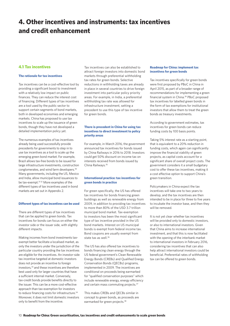# **4. Other incentives and instruments: tax incentives and credit enhancement**

# **4.1 Tax incentives**

# **The rationale for tax incentives**

Tax incentives can be a cost-effective tool by providing a significant boost to investment with a relatively low impact on public finances. They can reduce the interest cost of financing. Different types of tax incentives are a tool used by the public sector to support certain segments of bond markets, both in developed economies and emerging markets. China has proposed to use tax incentives to scale up the issuance of green bonds, though they have not developed a detailed implementation policy yet.

The numerous examples of tax incentives already being used successfully provide precedents for governments to step in to use tax incentives as a tool to scale up the emerging green bond market. For example, Brazil allows tax-free bonds to be issued for large infrastructure investments, construction conglomerates, and wind farm developers.<sup>30</sup> Many governments, including the US, Mexico and India, allow municipal bond issuances to be tax-exempt.<sup>3132</sup> More examples of the different types of tax incentives used in bond markets are set out in Appendix 2.

#### **Different types of tax incentives can be used**

There are different types of tax incentives that can be applied to green bonds. Tax incentives for bonds can focus on either the investor side or the issuer side, with slightly different impacts.

Making incomes from bond investments taxexempt better facilitate a localised market, as only the investors under the jurisdiction of the particular country providing the tax incentives are eligible for the incentives.
An investor-side tax incentive targeted at domestic investors does not provide an incentive to foreign investors,33 and these incentives are therefore best used only for larger countries that have a sufficient internal market. Conversely, tax-credit bonds provide benefits directly to the issuer. This can be a more cost-effective approach than tax-exemption for investors to reduce financing costs for infrastructure.<sup>34</sup> Moreover, it does not limit domestic investors only to benefit from the incentive.

Tax incentives can also be established to attract foreign investors into domestic bond markets through preferential withholding tax rates for green bonds. Selective reductions in withholding taxes are already in place in several countries to drive foreign investment into particular policy priority areas. For example, in India, a preferential withholding tax rate was allowed for infrastructure investment, setting a precedent to use this type of tax incentive for green bonds.

## **There is precedent in China for using tax incentives to direct investment to policy priority areas**

For example, in March 2016, the government announced tax incentives for bonds issued by China Railways in 2016 to 2018. Investors could get 50% discount on income tax on interests received from bonds issued by China Railways.35

## **International practice: tax incentives for green bonds in practice**

For green specifically, the US has offered tax incentives for bonds financing green buildings as well as renewable energy from 2009, in addition to providing tax incentives to more than 80% of the USD 3.7 trillion municipal bond market. Tax-exemption to investors has been the most significant type of tax incentive provided in the US bond markets. Interest on US municipal bonds is exempt from federal income tax. Bond coupons are usually exempt from state tax as well.<sup>36</sup>

The US has also offered tax incentives to bonds financing clean energy through the US federal government's Clean Renewable Energy Bonds (CREBs) and Qualified Energy Conservation Bonds (QECBs) programs, implemented in 2009. The incentives are conditional on proceeds being earmarked for "qualified conservation purposes" which include renewable energy, energy efficiency and certain mass commuting projects.<sup>37</sup>

This makes CREBs and QECBs similar in concept to green bonds, as proceeds are earmarked for green projects.<sup>38</sup>

# **Roadmap for China: implement tax incentives for green bonds**

Tax incentives specifically for green bonds were first proposed by PBoC in China in April 2015, as part of a broader range of recommendations for implementing a green financial system in China.39 PBoC proposed tax incentives for labelled green bonds in the form of tax exemptions for institutional investors that allow them to treat the green bonds as treasury investments.

According to government estimates, tax incentives for green bonds can reduce funding costs by 100 basis points.

Taking 5% interest rate as a starting point, that is equivalent to a 20% reduction in funding costs, which again can significantly improve the financial viability of green projects, as capital costs account for a significant share of overall project costs. The government considers it a small budgetary cost to offer these tax incentives, making it a cost effective option to support China's green transition.

Policymakers in China expect the tax incentives will take one to two years to develop, and the tax incentives are then intended to be in place for three to five years to incubate the investor base, and then they will be removed.

It is not yet clear whether tax incentives will be provided only to domestic investors, or also to international investors. Given that China aims to increase international investment, and that this is now facilitated with the opening of the interbank market to international investors in February 2016, considering tax incentives that can also help attract international investors could be beneficial. Preferential rates of withholding tax can be offered to green bonds.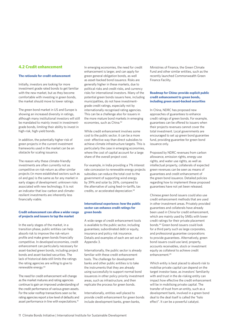# **4.2 Credit enhancement**

#### **The rationale for credit enhancement**

Initially, investors are looking for more investment grade rated bonds to get familiar with the new market, but as they become comfortable with investing in green bonds, the market should move to lower ratings.

The green bond market in US and Europe is showing an increased diversity in ratings, although many institutional investors will still be mandated to mainly invest in investmentgrade bonds, limiting their ability to invest in high-risk, high-yield bonds.

In addition, the potentially higher risk of green projects in the current investment frameworks used in the market can be an obstacle for scaling issuance.

The reason why these climate-friendly investments are often currently not as competitive on risk-return as other similar projects (in more established sectors such as oil and gas) is the same as for any market in early stages of development: unknown risks associated with new technology. It is not an indicator that low-carbon and climateresilient investments are inherently less financially viable.

#### **Credit enhancement can allow a wider range of projects and issuers to tap the market**

In the early stages of the market, in a transition phase, public entities can help absorb risk to improve the risk-return profile and make green bonds financially competitive. In developed economies, credit enhancement can particularly necessary for asset-backed green bonds, including project bonds and asset-backed securities. The lack of historical data still limits the ratings the rating agencies are willing to give to renewable energy.40

The need for credit enhancement will change as the market matures and rating agencies continue to gain an improved understanding of the credit performance of various green assets. For the solar rooftop transactions seen so far, rating agencies report a low level of defaults and asset performance in line with expectations.<sup>41</sup>

In emerging economies, the need for credit enhancement is larger, and can apply for green general obligation bonds, as well as asset-backed bond issuance. Risks are generally higher in these markets, due to political risks and credit risks, and currency risks for international investors. Many of the potential green bonds issuers here, including municipalities, do not have investmentgrade credit ratings, especially not by internationally recognised rating agencies. This can be a challenge also for issuers in the more mature bond markets in emerging economies, such as China.42

While credit enhancement involves some cost to the public sector, it can be a more cost- effective way than direct subsidies to achieve climate infrastructure targets. This is particularly the case in emerging economies, where the cost of capital account for a large share of the overall project cost.

For example, in India providing a 7% interest rate concession to renewable energy projects subsidies can reduce the total cost to the government of supporting wind energy by 39% and solar by 26%, compared to the alternative of using feed-in-tariffs, tax credits, or accelerated depreciation.43

## **International experience: how the public sector can enhance credit ratings for green bonds**

A wide range of credit enhancement tools is available to the public sector, including guarantees; subordinated debt or equity, insurance and policy risk insurance. Details and examples of each are set out in Appendix 3.

Internationally, the public sector is already familiar with these credit enhancement tools. The challenge for development banks and other public entities is to take the instruments that they are already using successfully to support normal bond issuances in other policy priority investment areas, such as infrastructure, and then replicate the process for green bonds.

Internationally, entities well placed to provide credit enhancement for green bonds include development banks, green banks,

Ministries of Finance, the Green Climate Fund and other similar entities, such as the recently launched Commonwealth Green Finance Facility.

#### **Roadmap for China: provide explicit public credit enhancement to green bonds, including green asset-backed securities**

In China, NDRC has proposed new approaches of guarantees to enhance credit ratings of green bonds. For example, guarantees can be offered to issuers when their projects revenues cannot cover the total investment. Local governments are encouraged to set up green bond guarantee fund, providing guarantee for green bond issuance only.

Proposed by NDRC revenues from carbon allowance, emission rights, energy use rights, and water use rights, as well as intellectual property, collaterals of expected green revenues can be seen as means of guarantees and credit enhancement of the green bond issuance. Detailed policies regarding how to implement these proposed guarantees have not yet been released.

Chinese green bond issuers could also use credit enhancement methods that are used in other investment areas. Privately provided guarantees and collaterals have already been used in China for credit enhancement, which are mainly used by SMEs with lower credit ratings for their private placement bonds.44 Green bond issuers could look for a third party such as large corporates, and professional guarantee corporations to provide guarantees. Alternatively, green bond issuers could use land, property, accounts receivables, stock or investment equity as collateral to achieve credit enhancement.45

Which entity is best placed to absorb risk to mobilise private capital can depend on the target investor base, as investors' familiarity with and trust in the de-risking entity can impact how effective the credit enhancement will be in mobilising private capital. The transfer of trust from an entity, such as a development bank, involved in a green bond deal to the deal itself is called the "halo effect". It can be a powerful catalyst.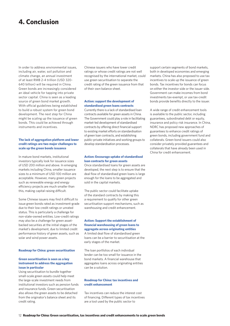# **4. Conclusion**

In order to address environmental issues, including air, water, soil pollution and climate change, an annual investment of at least RMB 2-4 trillion (USD 320- 640 billion) will be required in China. Green bonds are increasingly considered an ideal vehicle for tapping into private sector capital. China is seen as a leading source of green bond market growth. With official guidelines being established to build a robust system for green bond development. The next step for China might be scaling up the issuance of green bonds. This could be achieved through instruments and incentives.

#### **The lack of aggregation platform and lower credit ratings are two major challenges to scale up the green bonds issuance**

In mature bond markets, institutional investors typically look for issuance sizes of USD 200 million and above. In emerging markets including China, smaller issuance sizes to a minimum of USD 100 million are acceptable. However, many green projects such as renewable energy and energy efficiency projects are much smaller than this, making capital raising difficult.

Some Chinese issuers may find it difficult to issue green bonds rated as investment-grade due to their low credit ratings or unrated status. This is particularly a challenge for non-state-owned entities. Low-credit ratings may also be a challenge for green assetbacked securities at the initial stages of the market's development, due to limited credit performance history of green assets, such as solar and wind power assets.

#### **Roadmap for China: green securitisation**

#### **Green securitisation is seen as a key instrument to address the aggregation issue in particular**

Using securitisation to bundle together small-scale green assets could help meet the large-scale investment needs from institutional investors such as pension funds and insurance funds. Green securitisation also allows the green assets to be detached from the originator's balance sheet and its credit rating.

Chinese issuers who have lower credit ratings or whose credit ratings are not well recognised by the international market, could use green securitisation to separate the credit rating of the green issuance from that of their own balance sheet.

#### **Action: support the development of standardised green loans contracts**

Currently there is a lack of standardised loan contracts available for green assets in China. The Government could play a role in facilitating market-led development of standardised contracts by offering direct financial support to existing market efforts on standardisation of green loan contracts, and establishing public-private initiatives and working groups to develop standardisation processes.

#### **Action: Encourage uptake of standardised loan contracts for green assets**

Once standardised loans for green assets are developed, the next step is to ensure that the deal flow of standardised green loans is large enough for the loans to be aggregated and sold in the capital markets.

The public sector could facilitate uptake of the standard contracts by making this a requirement to qualify for other green securitisation support mechanisms, such as warehousing and credit enhancement.

#### **Action: Support the establishment of financial warehousing of green loans to aggregate across originating entities**

A limited deal flow of standardised green loans can be a barrier to securitisation at the early stages of the market.

The loan portfolios of each individual lender can be too small for issuance in the bond markets. A financial warehouse that aggregates loans across originating entities can be a solution.

#### **Roadmap for China: tax incentives and credit enhancement**

Tax incentives can reduce the interest cost of financing. Different types of tax incentives are a tool used by the public sector to

support certain segments of bond markets, both in developed economies and emerging markets. China has also proposed to use tax incentives to scale up the issuance of green bonds. Tax incentives for bonds can focus on either the investor side or the issuer side. Government can make incomes from bond investments tax-exempt, or use tax-credit bonds provide benefits directly to the issuer.

A wide range of credit enhancement tools is available to the public sector, including guarantees, subordinated debt or equity, insurance and policy risk insurance. In China, NDRC has proposed new approaches of guarantees to enhance credit ratings of green bonds, including government fund and collaterals. Green bond issuers could also consider privately provided guarantees and collaterals that have already been used in China for credit enhancement.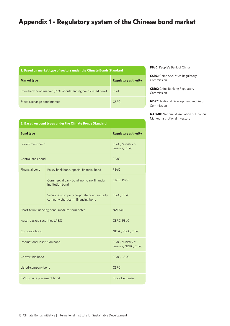# **Appendix 1 - Regulatory system of the Chinese bond market**

| 1. Based on market type of sectors under the Climate Bonds Standard |  |  |  |  |
|---------------------------------------------------------------------|--|--|--|--|
|---------------------------------------------------------------------|--|--|--|--|

| <b>Market type</b>                                            | <b>Regulatory authority</b> |
|---------------------------------------------------------------|-----------------------------|
| Inter-bank bond market (93% of outstanding bonds listed here) | <b>PBoC</b>                 |
| Stock exchange bond market                                    | CSRC.                       |

**PBoC:** People's Bank of China

**CSRC:** China Securities Regulatory Commission

**CBRC:** China Banking Regulatory Commission

**NDRC:** National Development and Reform Commission

**NAFMII:** National Association of Financial Market Institutional Investors

| <b>Bond type</b>                                                                                                      | <b>Regulatory authority</b> |
|-----------------------------------------------------------------------------------------------------------------------|-----------------------------|
| <b>Contract Contract Contract Contract Contract Contract Contract Contract Contract Contract Contract Contract Co</b> |                             |

**2. Based on bond types under the Climate Bonds Standard**

| Government bond                              | PBoC, Ministry of<br>Finance, CSRC                                               |                   |
|----------------------------------------------|----------------------------------------------------------------------------------|-------------------|
| Central bank bond                            |                                                                                  | PB <sub>o</sub> C |
| Financial bond                               | Policy bank bond, special financial bond                                         | PBoC              |
|                                              | Commercial bank bond, non-bank financial<br>institution bond                     | CBRC, PBoC        |
|                                              | Securities company corporate bond, security<br>company short-term financing bond | PBoC, CSRC        |
| Short-term financing bond, medium-term notes | <b>NAFMII</b>                                                                    |                   |
| Asset-backed securities (ABS)                | CBRC, PBoC                                                                       |                   |
| Corporate bond                               | NDRC, PBoC, CSRC                                                                 |                   |
| International institution bond               | PBoC, Ministry of<br>Finance, NDRC, CSRC                                         |                   |
| Convertible bond                             | PBoC, CSRC                                                                       |                   |
| Listed-company bond                          | <b>CSRC</b>                                                                      |                   |
| SME private placement bond                   | <b>Stock Exchange</b>                                                            |                   |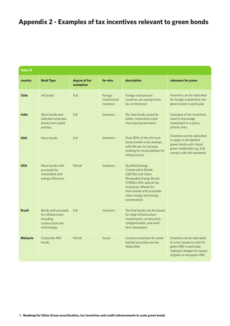# **Appendix 2 - Examples of tax incentives relevant to green bonds**

| <b>Table 15</b> |                                                                                           |                            |                                       |                                                                                                                                                                                                                                   |                                                                                                                                                      |
|-----------------|-------------------------------------------------------------------------------------------|----------------------------|---------------------------------------|-----------------------------------------------------------------------------------------------------------------------------------------------------------------------------------------------------------------------------------|------------------------------------------------------------------------------------------------------------------------------------------------------|
| country         | <b>Bond Type</b>                                                                          | degree of tax<br>exemption | for who                               | description                                                                                                                                                                                                                       | relevance for green                                                                                                                                  |
| <b>Chile</b>    | All bonds                                                                                 | Full                       | Foreign<br>Institutional<br>Investors | Foreign institutional<br>investors are exempt from<br>tax on the bond                                                                                                                                                             | Incentive can be replicated<br>for foreign investment into<br>green bonds in particular                                                              |
| <b>India</b>    | Muni bonds and<br>selected corporate<br>bonds from public<br>entities                     | Full                       | Investors                             | Tax free bonds issued by<br>public corporations and<br>municipal government                                                                                                                                                       | Examples of tax incentives<br>used to encourage<br>investment in a policy<br>priority area.                                                          |
| <b>USA</b>      | Muni bonds                                                                                | Full                       | Investors                             | Over 80% of the US muni<br>bond market is tax exempt.<br>with the aim to increase<br>funding for municipalities for<br>infrastructure                                                                                             | Incentive can be replicated<br>to apply to all labelled<br>green bonds with robust<br>green credentials e.g. that<br>comply with set standards       |
| <b>USA</b>      | Muni bonds with<br>proceeds for<br>renewables and<br>energy efficiency                    | Partial                    | Investors                             | <b>Qualified Energy</b><br><b>Conservation Bonds</b><br>(OECBs) and Clean<br>Renewable Energy Bonds<br>(CREBs) offer special tax<br>incentives offered for<br>muni bonds with proceeds<br>clean energy and energy<br>conservation |                                                                                                                                                      |
| <b>Brazil</b>   | Bonds with proceeds<br>for infrastructure<br>including<br>construction and<br>wind energy | Full                       | Investors                             | Tax-free bonds can be issued<br>for large infrastructure<br>investments, construction<br>conglomerates, and wind<br>farm developers                                                                                               |                                                                                                                                                      |
| <b>Malaysia</b> | Corporate ABS<br>bonds                                                                    | Partial                    | Issuer                                | Issuance expenses for asset-<br>backed securities are tax<br>deductible                                                                                                                                                           | Incentive can be replicated<br>to cover issuance costs for<br>green ABS in particular,<br>making it cheaper for issuers<br>of green vs non-green ABS |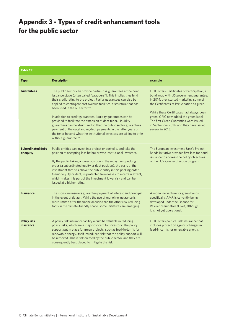# **Appendix 3 - Types of credit enhancement tools for the public sector**

| Table 15:                             |                                                                                                                                                                                                                                                                                                                                                                                                                                                                                                                                                                                                                                                                                                                            |                                                                                                                                                                                                                                                                                                                                                                                  |  |  |
|---------------------------------------|----------------------------------------------------------------------------------------------------------------------------------------------------------------------------------------------------------------------------------------------------------------------------------------------------------------------------------------------------------------------------------------------------------------------------------------------------------------------------------------------------------------------------------------------------------------------------------------------------------------------------------------------------------------------------------------------------------------------------|----------------------------------------------------------------------------------------------------------------------------------------------------------------------------------------------------------------------------------------------------------------------------------------------------------------------------------------------------------------------------------|--|--|
| <b>Type</b>                           | <b>Description</b>                                                                                                                                                                                                                                                                                                                                                                                                                                                                                                                                                                                                                                                                                                         | example                                                                                                                                                                                                                                                                                                                                                                          |  |  |
| <b>Guarantees</b>                     | The public sector can provide partial-risk guarantees at the bond<br>issuance stage (often called "wrappers"). This implies they lend<br>their credit rating to the project. Partial guarantees can also be<br>applied to contingent cost overrun facilities, a structure that has<br>been used in the oil sector. <sup>143</sup><br>In addition to credit guarantees, liquidity guarantees can be<br>provided to facilitate the extension of debt tenor. Liquidity<br>guarantees can be structured so that the public sector guarantees<br>payment of the outstanding debt payments in the latter years of<br>the tenor beyond what the institutional investors are willing to offer<br>without guarantee. <sup>144</sup> | OPIC offers Certificates of Participation, a<br>bond wrap with US government guarantee.<br>In 2014, they started marketing some of<br>the Certificates of Participation as green.<br>While these Certificates had always been<br>green, OPIC now added the green label.<br>The first Green Guaranties were issued<br>in September 2014, and they have issued<br>several in 2015. |  |  |
| <b>Subordinated debt</b><br>or equity | Public entities can invest in a project or portfolio, and take the<br>position of accepting loss before private institutional investors.<br>By the public taking a lower position in the repayment pecking<br>order (a subordinated equity or debt position), the parts of the<br>investment that sits above the public entity in this pecking order<br>(senior equity or debt) is protected from losses to a certain extent,<br>which makes this part of the investment lower risk and can be<br>issued at a higher rating.                                                                                                                                                                                               | The European Investment Bank's Project<br>Bonds Initiative provides first loss for bond<br>issuance to address the policy objectives<br>of the EU's Connect Europe program.                                                                                                                                                                                                      |  |  |
| <b>Insurance</b>                      | The monoline insurers guarantee payment of interest and principal<br>in the event of default. While the use of monoline insurance is<br>more limited after the financial crisis than the other risk-reducing<br>tools in the climate-friendly space, some initiatives are emerging.                                                                                                                                                                                                                                                                                                                                                                                                                                        | A monoline venture for green bonds<br>specifically, AMF, is currently being<br>developed under the Finance for<br>Resilience Initiative (FiRe), although<br>it is not yet operational.                                                                                                                                                                                           |  |  |
| <b>Policy risk</b><br>insurance       | A policy risk insurance facility would be valuable in reducing<br>policy risks, which are a major concern for investors. The policy<br>support put in place for green projects, such as feed-in-tariffs for<br>renewable energy, itself introduces risk that the policy support will<br>be removed. This is risk created by the public sector, and they are<br>consequently best placed to mitigate the risk.                                                                                                                                                                                                                                                                                                              | OPIC offers political risk insurance that<br>includes protection against changes in<br>feed-in-tariffs for renewable energy.                                                                                                                                                                                                                                                     |  |  |